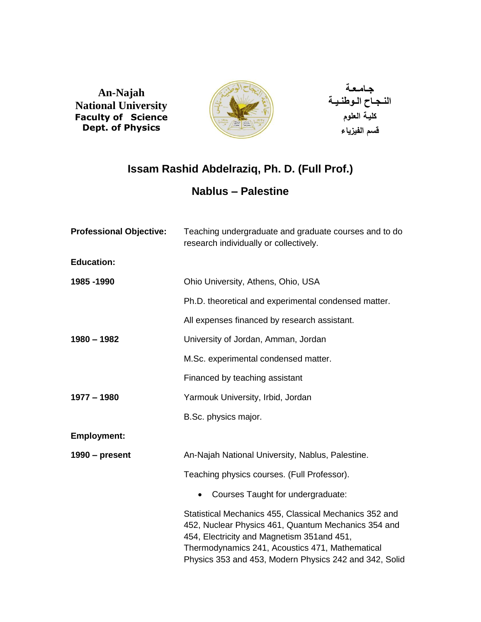**An-Najah** **National University** **Faculty of Science Dept. of Physics**



**جـامـعـة** **النـجـاح الـوطنـيـة كليـة العلوم قسم الفيزياء**

# **Issam Rashid Abdelraziq, Ph. D. (Full Prof.)**

## **Nablus – Palestine**

| <b>Professional Objective:</b> | Teaching undergraduate and graduate courses and to do<br>research individually or collectively.                                                                                                                                                                           |
|--------------------------------|---------------------------------------------------------------------------------------------------------------------------------------------------------------------------------------------------------------------------------------------------------------------------|
| <b>Education:</b>              |                                                                                                                                                                                                                                                                           |
| 1985-1990                      | Ohio University, Athens, Ohio, USA                                                                                                                                                                                                                                        |
|                                | Ph.D. theoretical and experimental condensed matter.                                                                                                                                                                                                                      |
|                                | All expenses financed by research assistant.                                                                                                                                                                                                                              |
| $1980 - 1982$                  | University of Jordan, Amman, Jordan                                                                                                                                                                                                                                       |
|                                | M.Sc. experimental condensed matter.                                                                                                                                                                                                                                      |
|                                | Financed by teaching assistant                                                                                                                                                                                                                                            |
| $1977 - 1980$                  | Yarmouk University, Irbid, Jordan                                                                                                                                                                                                                                         |
|                                | B.Sc. physics major.                                                                                                                                                                                                                                                      |
| <b>Employment:</b>             |                                                                                                                                                                                                                                                                           |
| $1990$ – present               | An-Najah National University, Nablus, Palestine.                                                                                                                                                                                                                          |
|                                | Teaching physics courses. (Full Professor).                                                                                                                                                                                                                               |
|                                | Courses Taught for undergraduate:                                                                                                                                                                                                                                         |
|                                | Statistical Mechanics 455, Classical Mechanics 352 and<br>452, Nuclear Physics 461, Quantum Mechanics 354 and<br>454, Electricity and Magnetism 351 and 451,<br>Thermodynamics 241, Acoustics 471, Mathematical<br>Physics 353 and 453, Modern Physics 242 and 342, Solid |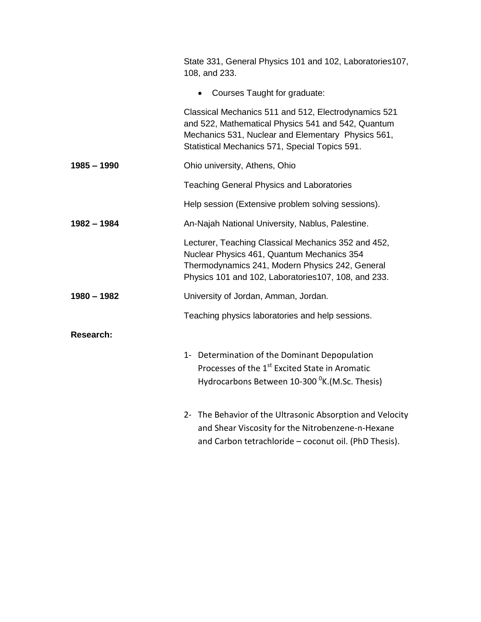|               | State 331, General Physics 101 and 102, Laboratories107,<br>108, and 233.                                                                                                                                          |
|---------------|--------------------------------------------------------------------------------------------------------------------------------------------------------------------------------------------------------------------|
|               | Courses Taught for graduate:                                                                                                                                                                                       |
|               | Classical Mechanics 511 and 512, Electrodynamics 521<br>and 522, Mathematical Physics 541 and 542, Quantum<br>Mechanics 531, Nuclear and Elementary Physics 561,<br>Statistical Mechanics 571, Special Topics 591. |
| $1985 - 1990$ | Ohio university, Athens, Ohio                                                                                                                                                                                      |
|               | <b>Teaching General Physics and Laboratories</b>                                                                                                                                                                   |
|               | Help session (Extensive problem solving sessions).                                                                                                                                                                 |
| 1982 - 1984   | An-Najah National University, Nablus, Palestine.                                                                                                                                                                   |
|               | Lecturer, Teaching Classical Mechanics 352 and 452,<br>Nuclear Physics 461, Quantum Mechanics 354<br>Thermodynamics 241, Modern Physics 242, General<br>Physics 101 and 102, Laboratories 107, 108, and 233.       |
| 1980 - 1982   | University of Jordan, Amman, Jordan.                                                                                                                                                                               |
|               | Teaching physics laboratories and help sessions.                                                                                                                                                                   |
| Research:     |                                                                                                                                                                                                                    |
|               | 1- Determination of the Dominant Depopulation<br>Processes of the 1 <sup>st</sup> Excited State in Aromatic<br>Hydrocarbons Between 10-300 <sup>0</sup> K.(M.Sc. Thesis)                                           |
|               | 2- The Behavior of the Ultrasonic Absorption and Velocity<br>and Shear Viscosity for the Nitrobenzene-n-Hexane<br>and Carbon tetrachloride - coconut oil. (PhD Thesis).                                            |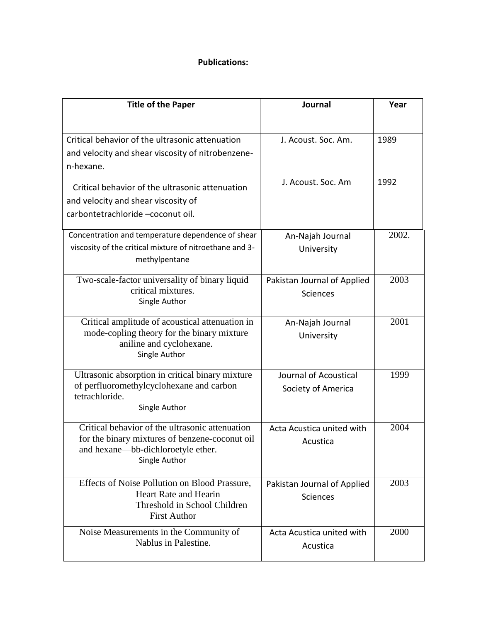#### **Publications:**

| <b>Title of the Paper</b>                                                                         | Journal                     | Year  |
|---------------------------------------------------------------------------------------------------|-----------------------------|-------|
|                                                                                                   |                             |       |
| Critical behavior of the ultrasonic attenuation                                                   | J. Acoust. Soc. Am.         | 1989  |
| and velocity and shear viscosity of nitrobenzene-                                                 |                             |       |
| n-hexane.                                                                                         |                             |       |
|                                                                                                   | J. Acoust. Soc. Am          | 1992  |
| Critical behavior of the ultrasonic attenuation                                                   |                             |       |
| and velocity and shear viscosity of<br>carbontetrachloride -coconut oil.                          |                             |       |
|                                                                                                   |                             |       |
| Concentration and temperature dependence of shear                                                 | An-Najah Journal            | 2002. |
| viscosity of the critical mixture of nitroethane and 3-                                           | University                  |       |
| methylpentane                                                                                     |                             |       |
| Two-scale-factor universality of binary liquid                                                    | Pakistan Journal of Applied | 2003  |
| critical mixtures.                                                                                | <b>Sciences</b>             |       |
| Single Author                                                                                     |                             |       |
| Critical amplitude of acoustical attenuation in                                                   | An-Najah Journal            | 2001  |
| mode-copling theory for the binary mixture                                                        | University                  |       |
| aniline and cyclohexane.<br>Single Author                                                         |                             |       |
|                                                                                                   |                             |       |
| Ultrasonic absorption in critical binary mixture                                                  | Journal of Acoustical       | 1999  |
| of perfluoromethylcyclohexane and carbon<br>tetrachloride.                                        | Society of America          |       |
| Single Author                                                                                     |                             |       |
|                                                                                                   |                             |       |
| Critical behavior of the ultrasonic attenuation<br>for the binary mixtures of benzene-coconut oil | Acta Acustica united with   | 2004  |
| and hexane—bb-dichloroetyle ether.                                                                | Acustica                    |       |
| Single Author                                                                                     |                             |       |
|                                                                                                   |                             |       |
| Effects of Noise Pollution on Blood Prassure,<br>Heart Rate and Hearin                            | Pakistan Journal of Applied | 2003  |
| Threshold in School Children                                                                      | <b>Sciences</b>             |       |
| <b>First Author</b>                                                                               |                             |       |
| Noise Measurements in the Community of                                                            | Acta Acustica united with   | 2000  |
| Nablus in Palestine.                                                                              | Acustica                    |       |
|                                                                                                   |                             |       |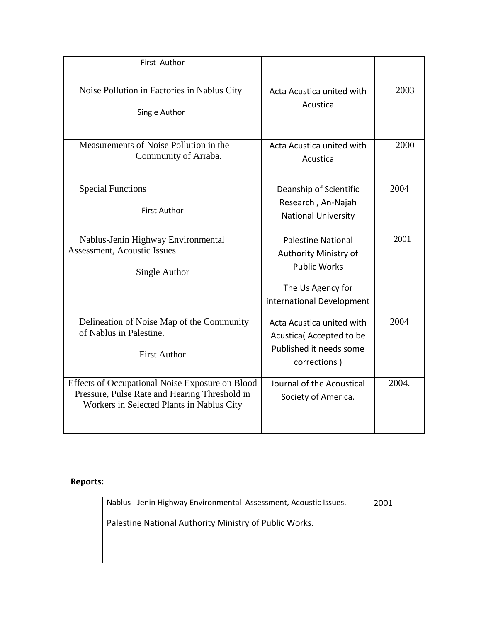| First Author                                                                                                                                  |                                                                                                                             |       |
|-----------------------------------------------------------------------------------------------------------------------------------------------|-----------------------------------------------------------------------------------------------------------------------------|-------|
| Noise Pollution in Factories in Nablus City<br>Single Author                                                                                  | Acta Acustica united with<br>Acustica                                                                                       | 2003  |
| Measurements of Noise Pollution in the<br>Community of Arraba.                                                                                | Acta Acustica united with<br>Acustica                                                                                       |       |
| <b>Special Functions</b><br><b>First Author</b>                                                                                               | Deanship of Scientific<br>Research, An-Najah<br><b>National University</b>                                                  | 2004  |
| Nablus-Jenin Highway Environmental<br><b>Assessment, Acoustic Issues</b><br>Single Author                                                     | <b>Palestine National</b><br>Authority Ministry of<br><b>Public Works</b><br>The Us Agency for<br>international Development | 2001  |
| Delineation of Noise Map of the Community<br>of Nablus in Palestine.<br><b>First Author</b>                                                   | Acta Acustica united with<br>Acustica (Accepted to be<br>Published it needs some<br>corrections)                            | 2004  |
| Effects of Occupational Noise Exposure on Blood<br>Pressure, Pulse Rate and Hearing Threshold in<br>Workers in Selected Plants in Nablus City | Journal of the Acoustical<br>Society of America.                                                                            | 2004. |

#### **Reports:**

| Nablus - Jenin Highway Environmental Assessment, Acoustic Issues. | 2001 |
|-------------------------------------------------------------------|------|
| Palestine National Authority Ministry of Public Works.            |      |
|                                                                   |      |
|                                                                   |      |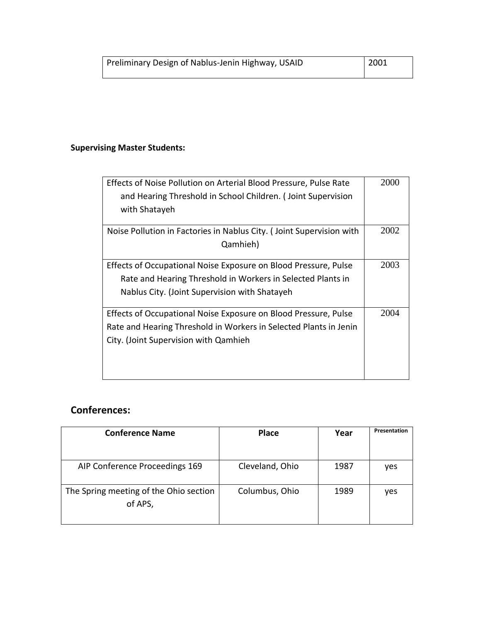### **Supervising Master Students:**

| Effects of Noise Pollution on Arterial Blood Pressure, Pulse Rate    | 2000 |
|----------------------------------------------------------------------|------|
| and Hearing Threshold in School Children. (Joint Supervision         |      |
| with Shatayeh                                                        |      |
| Noise Pollution in Factories in Nablus City. (Joint Supervision with | 2002 |
| Qamhieh)                                                             |      |
| Effects of Occupational Noise Exposure on Blood Pressure, Pulse      | 2003 |
| Rate and Hearing Threshold in Workers in Selected Plants in          |      |
| Nablus City. (Joint Supervision with Shatayeh                        |      |
| Effects of Occupational Noise Exposure on Blood Pressure, Pulse      | 2004 |
| Rate and Hearing Threshold in Workers in Selected Plants in Jenin    |      |
| City. (Joint Supervision with Qamhieh                                |      |
|                                                                      |      |
|                                                                      |      |

### **Conferences:**

| <b>Conference Name</b>                            | <b>Place</b>    | Year | Presentation |
|---------------------------------------------------|-----------------|------|--------------|
|                                                   |                 |      |              |
| AIP Conference Proceedings 169                    | Cleveland, Ohio | 1987 | yes          |
| The Spring meeting of the Ohio section<br>of APS, | Columbus, Ohio  | 1989 | yes          |